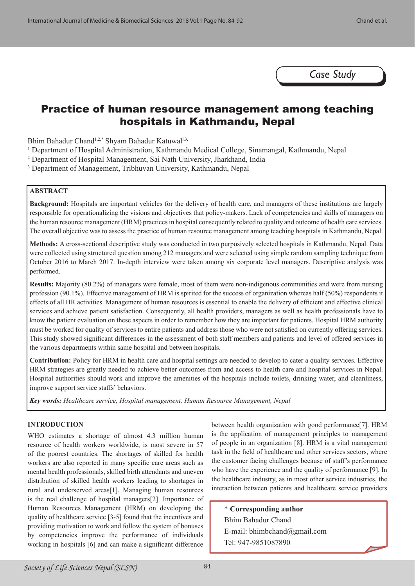*Case Study*

# Practice of human resource management among teaching hospitals in Kathmandu, Nepal

Bhim Bahadur Chand<sup>1,2,\*</sup> Shyam Bahadur Katuwal<sup>1,3,</sup>

- <sup>1</sup> Department of Hospital Administration, Kathmandu Medical College, Sinamangal, Kathmandu, Nepal
- 2 Department of Hospital Management, Sai Nath University, Jharkhand, India
- 3 Department of Management, Tribhuvan University, Kathmandu, Nepal

### **ABSTRACT**

**Background:** Hospitals are important vehicles for the delivery of health care, and managers of these institutions are largely responsible for operationalizing the visions and objectives that policy-makers. Lack of competencies and skills of managers on the human resource management (HRM) practices in hospital consequently related to quality and outcome of health care services. The overall objective was to assess the practice of human resource management among teaching hospitals in Kathmandu, Nepal.

**Methods:** A cross-sectional descriptive study was conducted in two purposively selected hospitals in Kathmandu, Nepal. Data were collected using structured question among 212 managers and were selected using simple random sampling technique from October 2016 to March 2017. In-depth interview were taken among six corporate level managers. Descriptive analysis was performed.

**Results:** Majority (80.2%) of managers were female, most of them were non-indigenous communities and were from nursing profession (90.1%). Effective management of HRM is spirited for the success of organization whereas half (50%) respondents it effects of all HR activities. Management of human resources is essential to enable the delivery of efficient and effective clinical services and achieve patient satisfaction. Consequently, all health providers, managers as well as health professionals have to know the patient evaluation on these aspects in order to remember how they are important for patients. Hospital HRM authority must be worked for quality of services to entire patients and address those who were not satisfied on currently offering services. This study showed significant differences in the assessment of both staff members and patients and level of offered services in the various departments within same hospital and between hospitals.

**Contribution:** Policy for HRM in health care and hospital settings are needed to develop to cater a quality services. Effective HRM strategies are greatly needed to achieve better outcomes from and access to health care and hospital services in Nepal. Hospital authorities should work and improve the amenities of the hospitals include toilets, drinking water, and cleanliness, improve support service staffs' behaviors.

*Key words: Healthcare service, Hospital management, Human Resource Management, Nepal*

# **INTRODUCTION**

WHO estimates a shortage of almost 4.3 million human resource of health workers worldwide, is most severe in 57 of the poorest countries. The shortages of skilled for health workers are also reported in many specific care areas such as mental health professionals, skilled birth attendants and uneven distribution of skilled health workers leading to shortages in rural and underserved areas[1]. Managing human resources is the real challenge of hospital managers[2]. Importance of Human Resources Management (HRM) on developing the quality of healthcare service [3-5] found that the incentives and providing motivation to work and follow the system of bonuses by competencies improve the performance of individuals working in hospitals [6] and can make a significant difference

between health organization with good performance[7]. HRM is the application of management principles to management of people in an organization [8]. HRM is a vital management task in the field of healthcare and other services sectors, where the customer facing challenges because of staff's performance who have the experience and the quality of performance [9]. In the healthcare industry, as in most other service industries, the interaction between patients and healthcare service providers

\* **Corresponding author** Bhim Bahadur Chand E-mail: bhimbchand@gmail.com Tel: 947-9851087890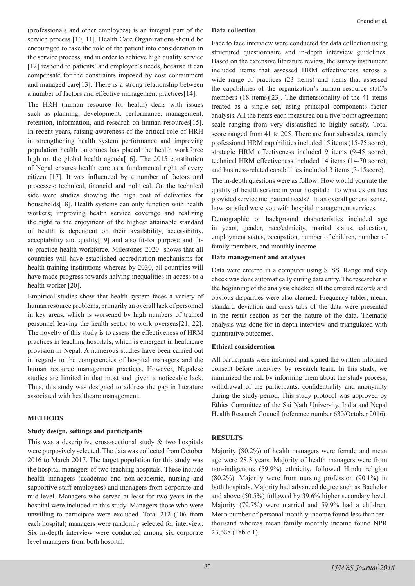(professionals and other employees) is an integral part of the service process [10, 11]. Health Care Organizations should be encouraged to take the role of the patient into consideration in the service process, and in order to achieve high quality service [12] respond to patients' and employee's needs, because it can compensate for the constraints imposed by cost containment and managed care[13]. There is a strong relationship between a number of factors and effective management practices[14].

The HRH (human resource for health) deals with issues such as planning, development, performance, management, retention, information, and research on human resources[15]. In recent years, raising awareness of the critical role of HRH in strengthening health system performance and improving population health outcomes has placed the health workforce high on the global health agenda[16]. The 2015 constitution of Nepal ensures health care as a fundamental right of every citizen [17]. It was influenced by a number of factors and processes: technical, financial and political. On the technical side were studies showing the high cost of deliveries for households[18]. Health systems can only function with health workers; improving health service coverage and realizing the right to the enjoyment of the highest attainable standard of health is dependent on their availability, accessibility, acceptability and quality[19] and also fit-for purpose and fitto-practice health workforce. Milestones 2020 shows that all countries will have established accreditation mechanisms for health training institutions whereas by 2030, all countries will have made progress towards halving inequalities in access to a health worker [20].

Empirical studies show that health system faces a variety of human resource problems, primarily an overall lack of personnel in key areas, which is worsened by high numbers of trained personnel leaving the health sector to work overseas[21, 22]. The novelty of this study is to assess the effectiveness of HRM practices in teaching hospitals, which is emergent in healthcare provision in Nepal. A numerous studies have been carried out in regards to the competencies of hospital managers and the human resource management practices. However, Nepalese studies are limited in that most and given a noticeable lack. Thus, this study was designed to address the gap in literature associated with healthcare management.

# **METHODS**

### **Study design, settings and participants**

This was a descriptive cross-sectional study & two hospitals were purposively selected. The data was collected from October 2016 to March 2017. The target population for this study was the hospital managers of two teaching hospitals. These include health managers (academic and non-academic, nursing and supportive staff employees) and managers from corporate and mid-level. Managers who served at least for two years in the hospital were included in this study. Managers those who were unwilling to participate were excluded. Total 212 (106 from each hospital) managers were randomly selected for interview. Six in-depth interview were conducted among six corporate level managers from both hospital.

#### **Data collection**

Face to face interview were conducted for data collection using structured questionnaire and in-depth interview guidelines. Based on the extensive literature review, the survey instrument included items that assessed HRM effectiveness across a wide range of practices (23 items) and items that assessed the capabilities of the organization's human resource staff's members (18 items)[23]. The dimensionality of the 41 items treated as a single set, using principal components factor analysis. All the items each measured on a five-point agreement scale ranging from very dissatisfied to highly satisfy. Total score ranged from 41 to 205. There are four subscales, namely professional HRM capabilities included 15 items (15-75 score), strategic HRM effectiveness included 9 items (9-45 score), technical HRM effectiveness included 14 items (14-70 score), and business-related capabilities included 3 items (3-15score).

The in-depth questions were as follow: How would you rate the quality of health service in your hospital? To what extent has provided service met patient needs? In an overall general sense, how satisfied were you with hospital management services.

Demographic or background characteristics included age in years, gender, race/ethnicity, marital status, education, employment status, occupation, number of children, number of family members, and monthly income.

### **Data management and analyses**

Data were entered in a computer using SPSS. Range and skip check was done automatically during data entry. The researcher at the beginning of the analysis checked all the entered records and obvious disparities were also cleaned. Frequency tables, mean, standard deviation and cross tabs of the data were presented in the result section as per the nature of the data. Thematic analysis was done for in-depth interview and triangulated with quantitative outcomes.

### **Ethical consideration**

All participants were informed and signed the written informed consent before interview by research team. In this study, we minimized the risk by informing them about the study process; withdrawal of the participants, confidentiality and anonymity during the study period. This study protocol was approved by Ethics Committee of the Sai Nath University, India and Nepal Health Research Council (reference number 630/October 2016).

# **RESULTS**

Majority (80.2%) of health managers were female and mean age were 28.3 years. Majority of health managers were from non-indigenous (59.9%) ethnicity, followed Hindu religion (80.2%). Majority were from nursing profession (90.1%) in both hospitals. Majority had advanced degree such as Bachelor and above (50.5%) followed by 39.6% higher secondary level. Majority (79.7%) were married and 59.9% had a children. Mean number of personal monthly income found less than tenthousand whereas mean family monthly income found NPR 23,688 (Table 1).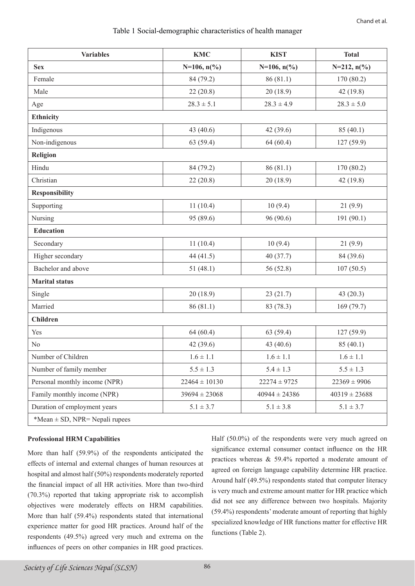# Table 1 Social-demographic characteristics of health manager

| <b>Variables</b>                   | <b>KMC</b>            | <b>KIST</b>       | <b>Total</b>      |  |
|------------------------------------|-----------------------|-------------------|-------------------|--|
| <b>Sex</b>                         | $N=106, n(^{0}/_{0})$ | $N=106, n(\% )$   | $N=212, n(\%)$    |  |
| Female                             | 84 (79.2)             | 86(81.1)          | 170 (80.2)        |  |
| Male                               | 22(20.8)              | 20(18.9)          | 42(19.8)          |  |
| Age                                | $28.3 \pm 5.1$        | $28.3 \pm 4.9$    | $28.3 \pm 5.0$    |  |
| <b>Ethnicity</b>                   |                       |                   |                   |  |
| Indigenous                         | 43 (40.6)             | 42 (39.6)         | 85(40.1)          |  |
| Non-indigenous                     | 63(59.4)              | 64(60.4)          | 127(59.9)         |  |
| <b>Religion</b>                    |                       |                   |                   |  |
| Hindu                              | 84 (79.2)             | 86(81.1)          | 170 (80.2)        |  |
| Christian                          | 22(20.8)              | 20(18.9)          | 42 (19.8)         |  |
| <b>Responsibility</b>              |                       |                   |                   |  |
| Supporting                         | 11(10.4)              | 10(9.4)           | 21(9.9)           |  |
| Nursing                            | 95 (89.6)             | 96 (90.6)         | 191 (90.1)        |  |
| <b>Education</b>                   |                       |                   |                   |  |
| Secondary                          | 11(10.4)              | 10(9.4)           | 21(9.9)           |  |
| Higher secondary                   | 44 (41.5)             | 40(37.7)          | 84 (39.6)         |  |
| Bachelor and above                 | 51(48.1)              | 56 (52.8)         | 107(50.5)         |  |
| <b>Marital status</b>              |                       |                   |                   |  |
| Single                             | 20(18.9)              | 23(21.7)          | 43(20.3)          |  |
| Married                            | 86(81.1)              | 83 (78.3)         | 169(79.7)         |  |
| <b>Children</b>                    |                       |                   |                   |  |
| Yes                                | 64(60.4)              | 63(59.4)          | 127(59.9)         |  |
| N <sub>0</sub>                     | 42 (39.6)             | 43 (40.6)         | 85(40.1)          |  |
| Number of Children                 | $1.6 \pm 1.1$         | $1.6 \pm 1.1$     | $1.6 \pm 1.1$     |  |
| Number of family member            | $5.5 \pm 1.3$         | $5.4 \pm 1.3$     | $5.5 \pm 1.3$     |  |
| Personal monthly income (NPR)      | $22464 \pm 10130$     | $22274 \pm 9725$  | $22369 \pm 9906$  |  |
| Family monthly income (NPR)        | $39694 \pm 23068$     | $40944 \pm 24386$ | $40319 \pm 23688$ |  |
| Duration of employment years       | $5.1 \pm 3.7$         | $5.1 \pm 3.8$     | $5.1 \pm 3.7$     |  |
| *Mean $\pm$ SD, NPR= Nepali rupees |                       |                   |                   |  |

# **Professional HRM Capabilities**

More than half (59.9%) of the respondents anticipated the effects of internal and external changes of human resources at hospital and almost half (50%) respondents moderately reported the financial impact of all HR activities. More than two-third (70.3%) reported that taking appropriate risk to accomplish objectives were moderately effects on HRM capabilities. More than half (59.4%) respondents stated that international experience matter for good HR practices. Around half of the respondents (49.5%) agreed very much and extrema on the influences of peers on other companies in HR good practices.

Half (50.0%) of the respondents were very much agreed on significance external consumer contact influence on the HR practices whereas & 59.4% reported a moderate amount of agreed on foreign language capability determine HR practice. Around half (49.5%) respondents stated that computer literacy is very much and extreme amount matter for HR practice which did not see any difference between two hospitals. Majority (59.4%) respondents' moderate amount of reporting that highly specialized knowledge of HR functions matter for effective HR functions (Table 2).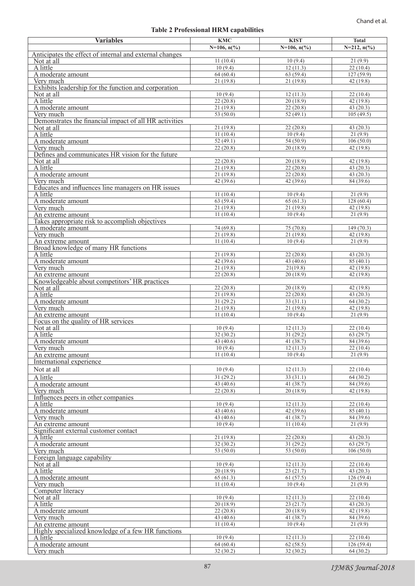# **Table 2 Professional HRM capabilities**

| <b>Variables</b>                                                     | <b>KMC</b>            | <b>KIST</b>           | <b>Total</b>              |  |  |  |
|----------------------------------------------------------------------|-----------------------|-----------------------|---------------------------|--|--|--|
|                                                                      | $N=106, n(^{0}/_{0})$ | $N=106, n(^{0}/_{0})$ | $N=212$ , $n\binom{0}{0}$ |  |  |  |
| Anticipates the effect of internal and external changes              |                       |                       |                           |  |  |  |
| Not at all<br>A little                                               | 11(10.4)<br>10(9.4)   | 10(9.4)<br>12(11.3)   | 21(9.9)<br>22(10.4)       |  |  |  |
| A moderate amount                                                    | 64(60.4)              | 63(59.4)              | 127(59.9)                 |  |  |  |
| Very much                                                            | 21(19.8)              | 21(19.8)              | 42(19.8)                  |  |  |  |
| Exhibits leadership for the function and corporation                 |                       |                       |                           |  |  |  |
| Not at all                                                           | 10(9.4)               | 12(11.3)              | 22(10.4)                  |  |  |  |
| A little                                                             | 22(20.8)              | 20(18.9)              | 42(19.8)                  |  |  |  |
| A moderate amount                                                    | 21(19.8)              | 22(20.8)              | 43(20.3)                  |  |  |  |
| Very much                                                            | 53(50.0)              | 52(49.1)              | 105(49.5)                 |  |  |  |
| Demonstrates the financial impact of all HR activities<br>Not at all | 21(19.8)              | 22(20.8)              | 43(20.3)                  |  |  |  |
| A little                                                             | 11(10.4)              | 10(9.4)               | 21(9.9)                   |  |  |  |
| A moderate amount                                                    | 52(49.1)              | 54(50.9)              | 106(50.0)                 |  |  |  |
| Very much                                                            | 22(20.8)              | 20(18.9)              | 42(19.8)                  |  |  |  |
| Defines and communicates HR vision for the future                    |                       |                       |                           |  |  |  |
| Not at all                                                           | 22(20.8)              | 20(18.9)              | 42(19.8)                  |  |  |  |
| A little<br>A moderate amount                                        | 21(19.8)<br>21(19.8)  | 22(20.8)<br>22(20.8)  | 43(20.3)<br>43(20.3)      |  |  |  |
| Very much                                                            | 42(39.6)              | 42(39.6)              | 84 (39.6)                 |  |  |  |
| Educates and influences line managers on HR issues                   |                       |                       |                           |  |  |  |
| A little                                                             | 11(10.4)              | 10(9.4)               | 21(9.9)                   |  |  |  |
| A moderate amount                                                    | 63 (59.4)             | 65(61.3)              | 128(60.4)                 |  |  |  |
| Very much                                                            | 21(19.8)              | 21(19.8)              | 42(19.8)                  |  |  |  |
| An extreme amount                                                    | 11(10.4)              | 10(9.4)               | 21(9.9)                   |  |  |  |
| Takes appropriate risk to accomplish objectives<br>A moderate amount | 74 (69.8)             | 75(70.8)              | 149 (70.3)                |  |  |  |
| Very much                                                            | 21(19.8)              | 21(19.8)              | 42(19.8)                  |  |  |  |
| An extreme amount                                                    | 11(10.4)              | 10(9.4)               | 21(9.9)                   |  |  |  |
| Broad knowledge of many HR functions                                 |                       |                       |                           |  |  |  |
| A little                                                             | 21(19.8)              | 22(20.8)              | 43(20.3)                  |  |  |  |
| A moderate amount                                                    | 42(39.6)              | 43 $(40.6)$           | 85(40.1)                  |  |  |  |
| Very much                                                            | 21(19.8)              | 21(19.8)              | 42 (19.8)                 |  |  |  |
| An extreme amount<br>Knowledgeable about competitors' HR practices   | 22(20.8)              | 20(18.9)              | 42 (19.8)                 |  |  |  |
| Not at all                                                           | 22(20.8)              | 20(18.9)              | 42 (19.8)                 |  |  |  |
| A little                                                             | 21(19.8)              | 22(20.8)              | 43(20.3)                  |  |  |  |
| A moderate amount                                                    | 31(29.2)              | 33(31.1)              | 64(30.2)                  |  |  |  |
| Very much                                                            | 21(19.8)              | 21(19.8)              | 42 (19.8)                 |  |  |  |
| An extreme amount                                                    | 11(10.4)              | 10(9.4)               | 21(9.9)                   |  |  |  |
| Focus on the quality of HR services<br>Not at all                    | 10(9.4)               | 12(11.3)              | 22(10.4)                  |  |  |  |
| A little                                                             | 32(30.2)              | 31(29.2)              | 63(29.7)                  |  |  |  |
| A moderate amount                                                    | 43 (40.6)             | 41 (38.7)             | 84 (39.6)                 |  |  |  |
| Very much                                                            | 10(9.4)               | 12(11.3)              | 22(10.4)                  |  |  |  |
| An extreme amount                                                    | 11(10.4)              | 10(9.4)               | 21(9.9)                   |  |  |  |
| International experience                                             |                       |                       |                           |  |  |  |
| Not at all                                                           | 10(9.4)               | 12(11.3)              | 22(10.4)                  |  |  |  |
| A little                                                             | 31(29.2)              | 33(31.1)              | 64(30.2)                  |  |  |  |
| A moderate amount                                                    | 43 (40.6)             | 41(38.7)              | 84 (39.6)                 |  |  |  |
| Very much<br>Influences peers in other companies                     | 22(20.8)              | 20(18.9)              | 42(19.8)                  |  |  |  |
| A little                                                             | 10(9.4)               | 12(11.3)              | 22(10.4)                  |  |  |  |
| A moderate amount                                                    | 43 (40.6)             | 42(39.6)              | 85(40.1)                  |  |  |  |
| Very much                                                            | 43 (40.6)             | 41(38.7)              | 84 (39.6)                 |  |  |  |
| An extreme amount                                                    | 10(9.4)               | 11(10.4)              | 21(9.9)                   |  |  |  |
| Significant external customer contact                                |                       |                       |                           |  |  |  |
| A little<br>A moderate amount                                        | 21(19.8)<br>32(30.2)  | 22(20.8)<br>31(29.2)  | 43(20.3)<br>63(29.7)      |  |  |  |
| Very much                                                            | 53 (50.0)             | 53 (50.0)             | 106(50.0)                 |  |  |  |
| Foreign language capability                                          |                       |                       |                           |  |  |  |
| Not at all                                                           | 10(9.4)               | 12(11.3)              | 22(10.4)                  |  |  |  |
| A little                                                             | 20(18.9)              | 23(21.7)              | 43(20.3)                  |  |  |  |
| A moderate amount                                                    | 65(61.3)              | 61(57.5)              | 126(59.4)                 |  |  |  |
| Very much                                                            | 11(10.4)              | 10(9.4)               | 21(9.9)                   |  |  |  |
| Computer literacy<br>Not at all                                      | 10(9.4)               | 12(11.3)              | 22(10.4)                  |  |  |  |
| A little                                                             | 20(18.9)              | 23(21.7)              | 43(20.3)                  |  |  |  |
| A moderate amount                                                    | 22(20.8)              | 20(18.9)              | 42(19.8)                  |  |  |  |
| Very much                                                            | 43 (40.6)             | 41(38.7)              | 84(39.6)                  |  |  |  |
| An extreme amount                                                    | 11(10.4)              | 10(9.4)               | 21(9.9)                   |  |  |  |
| Highly specialized knowledge of a few HR functions                   |                       |                       |                           |  |  |  |
| A little<br>A moderate amount                                        | 10(9.4)<br>64(60.4)   | 12(11.3)<br>62(58.5)  | 22(10.4)<br>126(59.4)     |  |  |  |
| Very much                                                            | 32(30.2)              | 32(30.2)              | 64(30.2)                  |  |  |  |
|                                                                      |                       |                       |                           |  |  |  |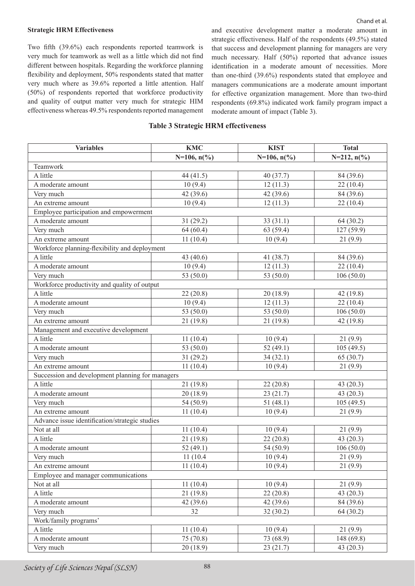#### **Strategic HRM Effectiveness**

Two fifth (39.6%) each respondents reported teamwork is very much for teamwork as well as a little which did not find different between hospitals. Regarding the workforce planning flexibility and deployment, 50% respondents stated that matter very much where as 39.6% reported a little attention. Half (50%) of respondents reported that workforce productivity and quality of output matter very much for strategic HIM effectiveness whereas 49.5% respondents reported management

and executive development matter a moderate amount in strategic effectiveness. Half of the respondents (49.5%) stated that success and development planning for managers are very much necessary. Half (50%) reported that advance issues identification in a moderate amount of necessities. More than one-third (39.6%) respondents stated that employee and managers communications are a moderate amount important for effective organization management. More than two-third respondents (69.8%) indicated work family program impact a moderate amount of impact (Table 3).

### **Table 3 Strategic HRM effectiveness**

| <b>Variables</b>                                 | <b>KMC</b>            | <b>KIST</b>           | <b>Total</b>              |  |
|--------------------------------------------------|-----------------------|-----------------------|---------------------------|--|
|                                                  | $N=106, n(^{0}/_{0})$ | $N=106, n(^{0}/_{0})$ | $N=212$ , $n\binom{0}{0}$ |  |
| Teamwork                                         |                       |                       |                           |  |
| A little                                         | 44 (41.5)             | 40 (37.7)             | 84 (39.6)                 |  |
| A moderate amount                                | 10(9.4)               | 12(11.3)              | 22(10.4)                  |  |
| Very much                                        | 42 (39.6)             | 42 (39.6)             | 84 (39.6)                 |  |
| An extreme amount                                | 10(9.4)               | 12(11.3)              | 22(10.4)                  |  |
| Employee participation and empowerment           |                       |                       |                           |  |
| A moderate amount                                | 31(29.2)              | 33(31.1)              | 64(30.2)                  |  |
| Very much                                        | 64(60.4)              | 63(59.4)              | 127 (59.9)                |  |
| An extreme amount                                | 11(10.4)              | 10(9.4)               | 21(9.9)                   |  |
| Workforce planning-flexibility and deployment    |                       |                       |                           |  |
| A little                                         | 43 (40.6)             | 41 (38.7)             | 84 (39.6)                 |  |
| A moderate amount                                | 10(9.4)               | 12(11.3)              | 22(10.4)                  |  |
| Very much                                        | 53 (50.0)             | 53 (50.0)             | 106(50.0)                 |  |
| Workforce productivity and quality of output     |                       |                       |                           |  |
| A little                                         | 22(20.8)              | 20(18.9)              | 42(19.8)                  |  |
| A moderate amount                                | 10(9.4)               | 12(11.3)              | 22(10.4)                  |  |
| Very much                                        | 53 (50.0)             | 53 (50.0)             | 106(50.0)                 |  |
| An extreme amount                                | 21(19.8)              | 21(19.8)              | 42 (19.8)                 |  |
| Management and executive development             |                       |                       |                           |  |
| A little                                         | 11(10.4)              | 10(9.4)               | 21(9.9)                   |  |
| A moderate amount                                | 53 (50.0)             | 52 $(49.1)$           | 105(49.5)                 |  |
| Very much                                        | 31(29.2)              | 34(32.1)              | 65 (30.7)                 |  |
| An extreme amount                                | 11(10.4)              | 10(9.4)               | 21(9.9)                   |  |
| Succession and development planning for managers |                       |                       |                           |  |
| A little                                         | 21 (19.8)             | 22(20.8)              | 43(20.3)                  |  |
| A moderate amount                                | 20(18.9)              | 23(21.7)              | 43(20.3)                  |  |
| Very much                                        | 54 (50.9)             | 51(48.1)              | 105(49.5)                 |  |
| An extreme amount                                | 11(10.4)              | 10(9.4)               | 21(9.9)                   |  |
| Advance issue identification/strategic studies   |                       |                       |                           |  |
| Not at all                                       | 11(10.4)              | 10(9.4)               | 21(9.9)                   |  |
| A little                                         | 21(19.8)              | 22(20.8)              | 43 (20.3)                 |  |
| A moderate amount                                | 52 $(49.1)$           | 54 (50.9)             | 106(50.0)                 |  |
| Very much                                        | 11 (10.4)             | 10(9.4)               | 21(9.9)                   |  |
| An extreme amount                                | 11(10.4)              | 10(9.4)               | 21(9.9)                   |  |
| Employee and manager communications              |                       |                       |                           |  |
| Not at all                                       | 11(10.4)              | 10(9.4)               | 21(9.9)                   |  |
| A little                                         | 21(19.8)              | 22(20.8)              | 43(20.3)                  |  |
| A moderate amount                                | 42(39.6)              | 42(39.6)              | 84 (39.6)                 |  |
| Very much                                        | 32                    | 32(30.2)              | 64(30.2)                  |  |
| Work/family programs'                            |                       |                       |                           |  |
| A little                                         | 11(10.4)              | 10(9.4)               | 21(9.9)                   |  |
| A moderate amount                                | 75 (70.8)             | 73 (68.9)             | 148(69.8)                 |  |
| Very much                                        | 20(18.9)              | 23(21.7)              | 43(20.3)                  |  |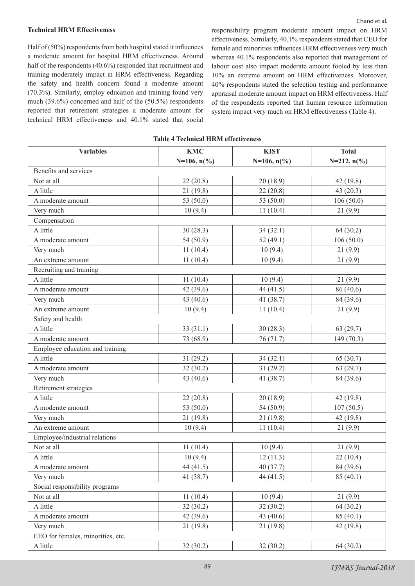#### **Technical HRM Effectiveness**

Half of (50%) respondents from both hospital stated it influences a moderate amount for hospital HRM effectiveness. Around half of the respondents (40.6%) responded that recruitment and training moderately impact in HRM effectiveness. Regarding the safety and health concern found a moderate amount (70.3%). Similarly, employ education and training found very much (39.6%) concerned and half of the (50.5%) respondents reported that retirement strategies a moderate amount for technical HRM effectiveness and 40.1% stated that social responsibility program moderate amount impact on HRM effectiveness. Similarly, 40.1% respondents stated that CEO for female and minorities influences HRM effectiveness very much whereas 40.1% respondents also reported that management of labour cost also impact moderate amount fooled by less than 10% an extreme amount on HRM effectiveness. Moreover, 40% respondents stated the selection testing and performance appraisal moderate amount impact on HRM effectiveness. Half of the respondents reported that human resource information system impact very much on HRM effectiveness (Table 4).

|  |  |  | <b>Table 4 Technical HRM effectiveness</b> |
|--|--|--|--------------------------------------------|
|--|--|--|--------------------------------------------|

| <b>Variables</b>                  | <b>KMC</b>            | <b>KIST</b>           | <b>Total</b>        |  |
|-----------------------------------|-----------------------|-----------------------|---------------------|--|
|                                   | $N=106, n(^{0}/_{0})$ | $N=106, n(^{0}/_{0})$ | $N=212, n(^{0}/_0)$ |  |
| Benefits and services             |                       |                       |                     |  |
| Not at all                        | 22(20.8)              | 20(18.9)              | 42(19.8)            |  |
| A little                          | 21 (19.8)             | 22(20.8)              | 43 (20.3)           |  |
| A moderate amount                 | 53 (50.0)             | 53 (50.0)             | 106(50.0)           |  |
| Very much                         | 10(9.4)               | 11(10.4)              | 21(9.9)             |  |
| Compensation                      |                       |                       |                     |  |
| A little                          | 30(28.3)              | 34(32.1)              | 64(30.2)            |  |
| A moderate amount                 | 54 (50.9)             | 52 (49.1)             | 106(50.0)           |  |
| Very much                         | 11(10.4)              | 10(9.4)               | 21(9.9)             |  |
| An extreme amount                 | 11(10.4)              | 10(9.4)               | 21(9.9)             |  |
| Recruiting and training           |                       |                       |                     |  |
| A little                          | 11(10.4)              | 10(9.4)               | 21(9.9)             |  |
| A moderate amount                 | 42(39.6)              | 44 (41.5)             | 86 (40.6)           |  |
| Very much                         | 43 (40.6)             | 41 (38.7)             | 84 (39.6)           |  |
| An extreme amount                 | 10(9.4)               | 11(10.4)              | 21(9.9)             |  |
| Safety and health                 |                       |                       |                     |  |
| A little                          | 33(31.1)              | 30(28.3)              | 63(29.7)            |  |
| A moderate amount                 | 73 (68.9)             | 76(71.7)              | 149(70.3)           |  |
| Employee education and training   |                       |                       |                     |  |
| A little                          | 31(29.2)              | 34(32.1)              | 65 (30.7)           |  |
| A moderate amount                 | 32(30.2)              | 31(29.2)              | 63(29.7)            |  |
| Very much                         | 43 (40.6)             | 41 (38.7)             | 84 (39.6)           |  |
| Retirement strategies             |                       |                       |                     |  |
| A little                          | 22(20.8)              | 20(18.9)              | 42(19.8)            |  |
| A moderate amount                 | 53 (50.0)             | 54 (50.9)             | 107(50.5)           |  |
| Very much                         | 21(19.8)              | 21 (19.8)             | 42(19.8)            |  |
| An extreme amount                 | 10(9.4)               | 11(10.4)              | 21(9.9)             |  |
| Employee/industrial relations     |                       |                       |                     |  |
| Not at all                        | 11(10.4)              | 10(9.4)               | 21(9.9)             |  |
| A little                          | 10(9.4)               | 12(11.3)              | 22(10.4)            |  |
| A moderate amount                 | 44 (41.5)             | 40 (37.7)             | 84 (39.6)           |  |
| Very much                         | 41 (38.7)             | 44(41.5)              | 85(40.1)            |  |
| Social responsibility programs    |                       |                       |                     |  |
| Not at all                        | 11(10.4)              | 10(9.4)               | 21(9.9)             |  |
| A little                          | 32(30.2)              | 32(30.2)              | 64(30.2)            |  |
| A moderate amount                 | 42(39.6)              | 43 (40.6)             | 85(40.1)            |  |
| Very much                         | 21(19.8)              | 21(19.8)              | 42(19.8)            |  |
| EEO for females, minorities, etc. |                       |                       |                     |  |
| A little                          | 32(30.2)              | 32(30.2)              | 64(30.2)            |  |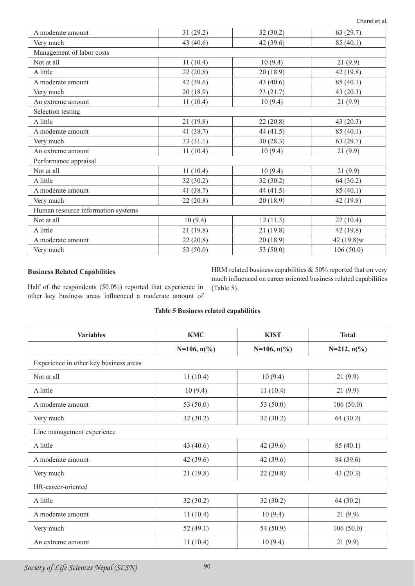| A moderate amount                  | 31(29.2)    | 32(30.2)  | 63(29.7)   |  |  |
|------------------------------------|-------------|-----------|------------|--|--|
| Very much                          | 43 $(40.6)$ | 42(39.6)  | 85(40.1)   |  |  |
| Management of labor costs          |             |           |            |  |  |
| Not at all                         | 11(10.4)    | 10(9.4)   | 21(9.9)    |  |  |
| A little                           | 22(20.8)    | 20(18.9)  | 42(19.8)   |  |  |
| A moderate amount                  | 42(39.6)    | 43(40.6)  | 85(40.1)   |  |  |
| Very much                          | 20(18.9)    | 23(21.7)  | 43(20.3)   |  |  |
| An extreme amount                  | 11(10.4)    | 10(9.4)   | 21(9.9)    |  |  |
| Selection testing                  |             |           |            |  |  |
| A little                           | 21(19.8)    | 22(20.8)  | 43(20.3)   |  |  |
| A moderate amount                  | 41 $(38.7)$ | 44(41.5)  | 85(40.1)   |  |  |
| Very much                          | 33(31.1)    | 30(28.3)  | 63(29.7)   |  |  |
| An extreme amount                  | 11(10.4)    | 10(9.4)   | 21(9.9)    |  |  |
| Performance appraisal              |             |           |            |  |  |
| Not at all                         | 11(10.4)    | 10(9.4)   | 21(9.9)    |  |  |
| A little                           | 32(30.2)    | 32(30.2)  | 64 (30.2)  |  |  |
| A moderate amount                  | 41(38.7)    | 44(41.5)  | 85 (40.1)  |  |  |
| Very much                          | 22(20.8)    | 20(18.9)  | 42(19.8)   |  |  |
| Human resource information systems |             |           |            |  |  |
| Not at all                         | 10(9.4)     | 12(11.3)  | 22(10.4)   |  |  |
| A little                           | 21(19.8)    | 21(19.8)  | 42(19.8)   |  |  |
| A moderate amount                  | 22(20.8)    | 20(18.9)  | 42 (19.8)w |  |  |
| Very much                          | 53 (50.0)   | 53 (50.0) | 106(50.0)  |  |  |

# **Business Related Capabilities**

Half of the respondents (50.0%) reported that experience in

HRM related business capabilities  $& 50\%$  reported that on very much influenced on career oriented business related capabilities (Table 5).

other key business areas influenced a moderate amount of

# **Table 5 Business related capabilities**

| <b>Variables</b>                       | <b>KMC</b>            | <b>KIST</b>     | <b>Total</b>              |  |  |
|----------------------------------------|-----------------------|-----------------|---------------------------|--|--|
|                                        | $N=106, n\frac{6}{6}$ | $N=106, n(\% )$ | $N=212$ , $n\binom{0}{0}$ |  |  |
| Experience in other key business areas |                       |                 |                           |  |  |
| Not at all                             | 11(10.4)              | 10(9.4)         | 21(9.9)                   |  |  |
| A little                               | 10(9.4)               | 11(10.4)        | 21(9.9)                   |  |  |
| A moderate amount                      | 53 $(50.0)$           | 53 (50.0)       | 106(50.0)                 |  |  |
| Very much                              | 32(30.2)              | 32(30.2)        | 64(30.2)                  |  |  |
| Line management experience             |                       |                 |                           |  |  |
| A little                               | 43 (40.6)             | 42(39.6)        | 85(40.1)                  |  |  |
| A moderate amount                      | 42(39.6)              | 42(39.6)        | 84 (39.6)                 |  |  |
| Very much                              | 21(19.8)              | 22(20.8)        | 43 $(20.3)$               |  |  |
| HR-career-oriented                     |                       |                 |                           |  |  |
| A little                               | 32(30.2)              | 32(30.2)        | 64(30.2)                  |  |  |
| A moderate amount                      | 11(10.4)              | 10(9.4)         | 21(9.9)                   |  |  |
| Very much                              | 52(49.1)              | 54 (50.9)       | 106(50.0)                 |  |  |
| An extreme amount                      | 11(10.4)              | 10(9.4)         | 21(9.9)                   |  |  |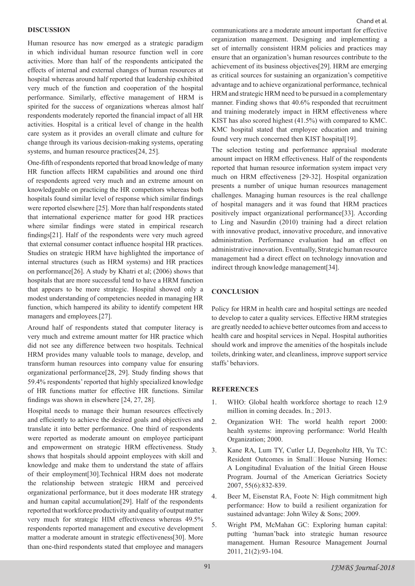### **DISCUSSION**

Human resource has now emerged as a strategic paradigm in which individual human resource function well in core activities. More than half of the respondents anticipated the effects of internal and external changes of human resources at hospital whereas around half reported that leadership exhibited very much of the function and cooperation of the hospital performance. Similarly, effective management of HRM is spirited for the success of organizations whereas almost half respondents moderately reported the financial impact of all HR activities. Hospital is a critical level of change in the health care system as it provides an overall climate and culture for change through its various decision-making systems, operating systems, and human resource practices<sup>[24, 25]</sup>.

One-fifth of respondents reported that broad knowledge of many HR function affects HRM capabilities and around one third of respondents agreed very much and an extreme amount on knowledgeable on practicing the HR competitors whereas both hospitals found similar level of response which similar findings were reported elsewhere [25]. More than half respondents stated that international experience matter for good HR practices where similar findings were stated in empirical research findings[21]. Half of the respondents were very much agreed that external consumer contact influence hospital HR practices. Studies on strategic HRM have highlighted the importance of internal structures (such as HRM systems) and HR practices on performance[26]. A study by Khatri et al; (2006) shows that hospitals that are more successful tend to have a HRM function that appears to be more strategic. Hospital showed only a modest understanding of competencies needed in managing HR function, which hampered its ability to identify competent HR managers and employees.[27].

Around half of respondents stated that computer literacy is very much and extreme amount matter for HR practice which did not see any difference between two hospitals. Technical HRM provides many valuable tools to manage, develop, and transform human resources into company value for ensuring organizational performance[28, 29]. Study finding shows that 59.4% respondents' reported that highly specialized knowledge of HR functions matter for effective HR functions. Similar findings was shown in elsewhere [24, 27, 28].

Hospital needs to manage their human resources effectively and efficiently to achieve the desired goals and objectives and translate it into better performance. One third of respondents were reported as moderate amount on employee participant and empowerment on strategic HRM effectiveness. Study shows that hospitals should appoint employees with skill and knowledge and make them to understand the state of affairs of their employment[30].Technical HRM does not moderate the relationship between strategic HRM and perceived organizational performance, but it does moderate HR strategy and human capital accumulation[29]. Half of the respondents reported that workforce productivity and quality of output matter very much for strategic HIM effectiveness whereas 49.5% respondents reported management and executive development matter a moderate amount in strategic effectiveness[30]. More than one-third respondents stated that employee and managers communications are a moderate amount important for effective organization management. Designing and implementing a set of internally consistent HRM policies and practices may ensure that an organization's human resources contribute to the achievement of its business objectives[29]. HRM are emerging as critical sources for sustaining an organization's competitive advantage and to achieve organizational performance, technical HRM and strategic HRM need to be pursued in a complementary manner. Finding shows that 40.6% responded that recruitment and training moderately impact in HRM effectiveness where KIST has also scored highest (41.5%) with compared to KMC. KMC hospital stated that employee education and training found very much concerned then KIST hospital[19].

The selection testing and performance appraisal moderate amount impact on HRM effectiveness. Half of the respondents reported that human resource information system impact very much on HRM effectiveness [29-32]. Hospital organization presents a number of unique human resources management challenges. Managing human resources is the real challenge of hospital managers and it was found that HRM practices positively impact organizational performance[33]. According to Ling and Nasurdin (2010) training had a direct relation with innovative product, innovative procedure, and innovative administration. Performance evaluation had an effect on administrative innovation. Eventually, Strategic human resource management had a direct effect on technology innovation and indirect through knowledge management[34].

### **CONCLUSION**

Policy for HRM in health care and hospital settings are needed to develop to cater a quality services. Effective HRM strategies are greatly needed to achieve better outcomes from and access to health care and hospital services in Nepal. Hospital authorities should work and improve the amenities of the hospitals include toilets, drinking water, and cleanliness, improve support service staffs' behaviors.

### **REFERENCES**

- 1. WHO: Global health workforce shortage to reach 12.9 million in coming decades. In.; 2013.
- 2. Organization WH: The world health report 2000: health systems: improving performance: World Health Organization; 2000.
- 3. Kane RA, Lum TY, Cutler LJ, Degenholtz HB, Yu TC: Resident Outcomes in Small□House Nursing Homes: A Longitudinal Evaluation of the Initial Green House Program. Journal of the American Geriatrics Society 2007, 55(6):832-839.
- 4. Beer M, Eisenstat RA, Foote N: High commitment high performance: How to build a resilient organization for sustained advantage: John Wiley & Sons; 2009.
- 5. Wright PM, McMahan GC: Exploring human capital: putting 'human'back into strategic human resource management. Human Resource Management Journal 2011, 21(2):93-104.